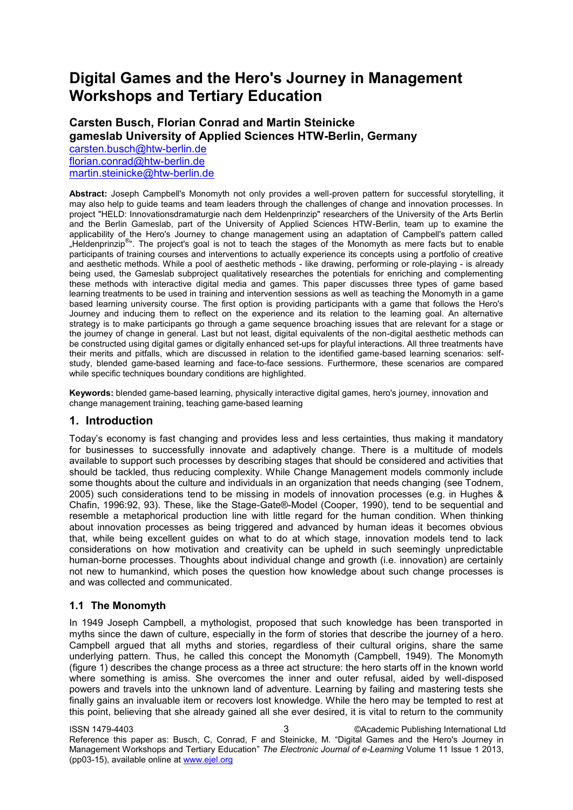# **Digital Games and the Hero's Journey in Management Workshops and Tertiary Education**

# **Carsten Busch, Florian Conrad and Martin Steinicke gameslab University of Applied Sciences HTW-Berlin, Germany**

[carsten.busch@htw-berlin.de](mailto:leadauthor@email.com)  [florian.conrad@htw-berlin.de](mailto:co-authorone@email.com)  [martin.steinicke@htw-berlin.de](mailto:co-authortwo@email.com) 

**Abstract:** Joseph Campbell's Monomyth not only provides a well-proven pattern for successful storytelling, it may also help to guide teams and team leaders through the challenges of change and innovation processes. In project "HELD: Innovationsdramaturgie nach dem Heldenprinzip" researchers of the University of the Arts Berlin and the Berlin Gameslab, part of the University of Applied Sciences HTW-Berlin, team up to examine the applicability of the Hero's Journey to change management using an adaptation of Campbell's pattern called "Heldenprinzip<sup>®</sup>". The project's goal is not to teach the stages of the Monomyth as mere facts but to enable participants of training courses and interventions to actually experience its concepts using a portfolio of creative and aesthetic methods. While a pool of aesthetic methods - like drawing, performing or role-playing - is already being used, the Gameslab subproject qualitatively researches the potentials for enriching and complementing these methods with interactive digital media and games. This paper discusses three types of game based learning treatments to be used in training and intervention sessions as well as teaching the Monomyth in a game based learning university course. The first option is providing participants with a game that follows the Hero's Journey and inducing them to reflect on the experience and its relation to the learning goal. An alternative strategy is to make participants go through a game sequence broaching issues that are relevant for a stage or the journey of change in general. Last but not least, digital equivalents of the non-digital aesthetic methods can be constructed using digital games or digitally enhanced set-ups for playful interactions. All three treatments have their merits and pitfalls, which are discussed in relation to the identified game-based learning scenarios: selfstudy, blended game-based learning and face-to-face sessions. Furthermore, these scenarios are compared while specific techniques boundary conditions are highlighted.

**Keywords:** blended game-based learning, physically interactive digital games, hero's journey, innovation and change management training, teaching game-based learning

### **1. Introduction**

Today's economy is fast changing and provides less and less certainties, thus making it mandatory for businesses to successfully innovate and adaptively change. There is a multitude of models available to support such processes by describing stages that should be considered and activities that should be tackled, thus reducing complexity. While Change Management models commonly include some thoughts about the culture and individuals in an organization that needs changing (see Todnem, 2005) such considerations tend to be missing in models of innovation processes (e.g. in Hughes & Chafin, 1996:92, 93). These, like the Stage-Gate®-Model (Cooper, 1990), tend to be sequential and resemble a metaphorical production line with little regard for the human condition. When thinking about innovation processes as being triggered and advanced by human ideas it becomes obvious that, while being excellent guides on what to do at which stage, innovation models tend to lack considerations on how motivation and creativity can be upheld in such seemingly unpredictable human-borne processes. Thoughts about individual change and growth (i.e. innovation) are certainly not new to humankind, which poses the question how knowledge about such change processes is and was collected and communicated.

### **1.1 The Monomyth**

In 1949 Joseph Campbell, a mythologist, proposed that such knowledge has been transported in myths since the dawn of culture, especially in the form of stories that describe the journey of a hero. Campbell argued that all myths and stories, regardless of their cultural origins, share the same underlying pattern. Thus, he called this concept the Monomyth (Campbell, 1949). The Monomyth (figure 1) describes the change process as a three act structure: the hero starts off in the known world where something is amiss. She overcomes the inner and outer refusal, aided by well-disposed powers and travels into the unknown land of adventure. Learning by failing and mastering tests she finally gains an invaluable item or recovers lost knowledge. While the hero may be tempted to rest at this point, believing that she already gained all she ever desired, it is vital to return to the community

ISSN 1479-4403 3 ©Academic Publishing International Ltd Reference this paper as: Busch, C, Conrad, F and Steinicke, M. "Digital Games and the Hero's Journey in Management Workshops and Tertiary Education" *The Electronic Journal of e-Learning* Volume 11 Issue 1 2013, (pp03-15), available online at www.ejel.org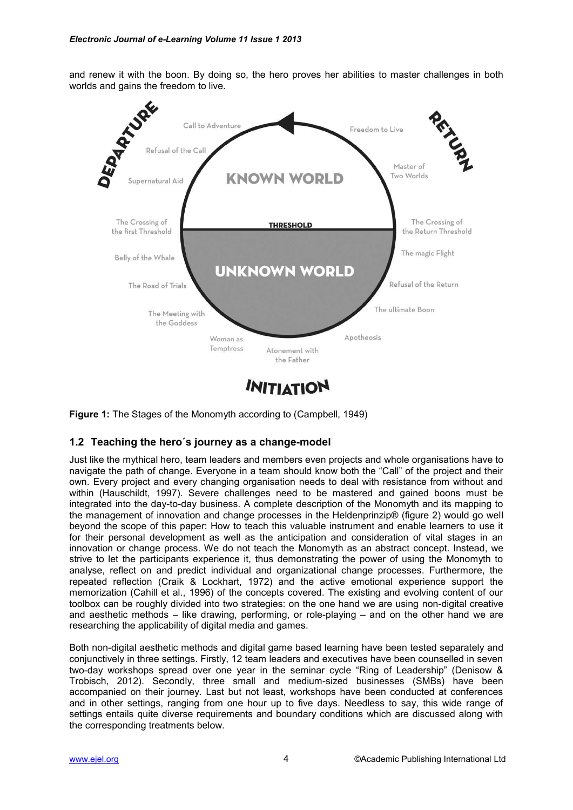and renew it with the boon. By doing so, the hero proves her abilities to master challenges in both worlds and gains the freedom to live.



**Figure 1:** The Stages of the Monomyth according to (Campbell, 1949)

### **1.2 Teaching the hero´s journey as a change-model**

Just like the mythical hero, team leaders and members even projects and whole organisations have to navigate the path of change. Everyone in a team should know both the "Call" of the project and their own. Every project and every changing organisation needs to deal with resistance from without and within (Hauschildt, 1997). Severe challenges need to be mastered and gained boons must be integrated into the day-to-day business. A complete description of the Monomyth and its mapping to the management of innovation and change processes in the Heldenprinzip® (figure 2) would go well beyond the scope of this paper: How to teach this valuable instrument and enable learners to use it for their personal development as well as the anticipation and consideration of vital stages in an innovation or change process. We do not teach the Monomyth as an abstract concept. Instead, we strive to let the participants experience it, thus demonstrating the power of using the Monomyth to analyse, reflect on and predict individual and organizational change processes. Furthermore, the repeated reflection (Craik & Lockhart, 1972) and the active emotional experience support the memorization (Cahill et al., 1996) of the concepts covered. The existing and evolving content of our toolbox can be roughly divided into two strategies: on the one hand we are using non-digital creative and aesthetic methods – like drawing, performing, or role-playing – and on the other hand we are researching the applicability of digital media and games.

Both non-digital aesthetic methods and digital game based learning have been tested separately and conjunctively in three settings. Firstly, 12 team leaders and executives have been counselled in seven two-day workshops spread over one year in the seminar cycle "Ring of Leadership" (Denisow & Trobisch, 2012). Secondly, three small and medium-sized businesses (SMBs) have been accompanied on their journey. Last but not least, workshops have been conducted at conferences and in other settings, ranging from one hour up to five days. Needless to say, this wide range of settings entails quite diverse requirements and boundary conditions which are discussed along with the corresponding treatments below.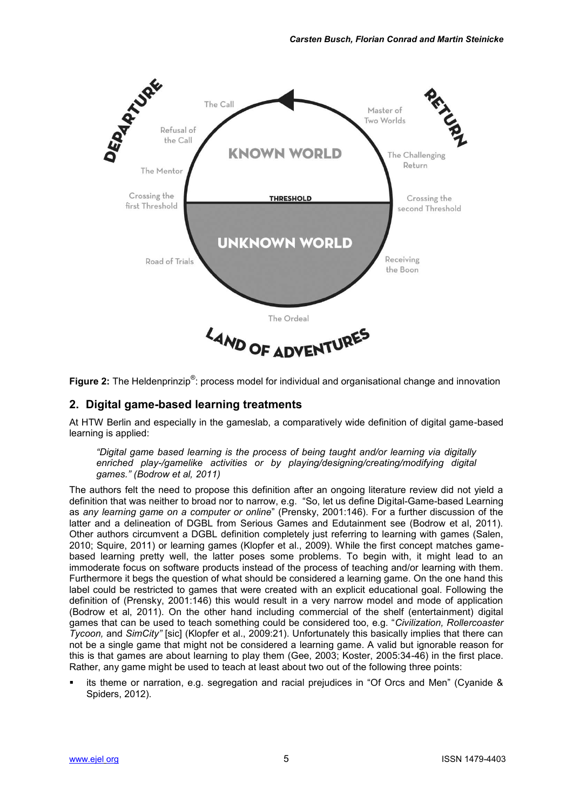

Figure 2: The Heldenprinzip<sup>®</sup>: process model for individual and organisational change and innovation

## **2. Digital game-based learning treatments**

At HTW Berlin and especially in the gameslab, a comparatively wide definition of digital game-based learning is applied:

*"Digital game based learning is the process of being taught and/or learning via digitally enriched play-/gamelike activities or by playing/designing/creating/modifying digital games." (Bodrow et al, 2011)*

The authors felt the need to propose this definition after an ongoing literature review did not yield a definition that was neither to broad nor to narrow, e.g. "So, let us define Digital-Game-based Learning as *any learning game on a computer or online*" (Prensky, 2001:146). For a further discussion of the latter and a delineation of DGBL from Serious Games and Edutainment see (Bodrow et al, 2011). Other authors circumvent a DGBL definition completely just referring to learning with games (Salen, 2010; Squire, 2011) or learning games (Klopfer et al., 2009). While the first concept matches gamebased learning pretty well, the latter poses some problems. To begin with, it might lead to an immoderate focus on software products instead of the process of teaching and/or learning with them. Furthermore it begs the question of what should be considered a learning game. On the one hand this label could be restricted to games that were created with an explicit educational goal. Following the definition of (Prensky, 2001:146) this would result in a very narrow model and mode of application (Bodrow et al, 2011). On the other hand including commercial of the shelf (entertainment) digital games that can be used to teach something could be considered too, e.g. "*Civilization, Rollercoaster Tycoon,* and *SimCity"* [sic] (Klopfer et al., 2009:21). Unfortunately this basically implies that there can not be a single game that might not be considered a learning game. A valid but ignorable reason for this is that games are about learning to play them (Gee, 2003; Koster, 2005:34-46) in the first place. Rather, any game might be used to teach at least about two out of the following three points:

 its theme or narration, e.g. segregation and racial prejudices in "Of Orcs and Men" (Cyanide & Spiders, 2012).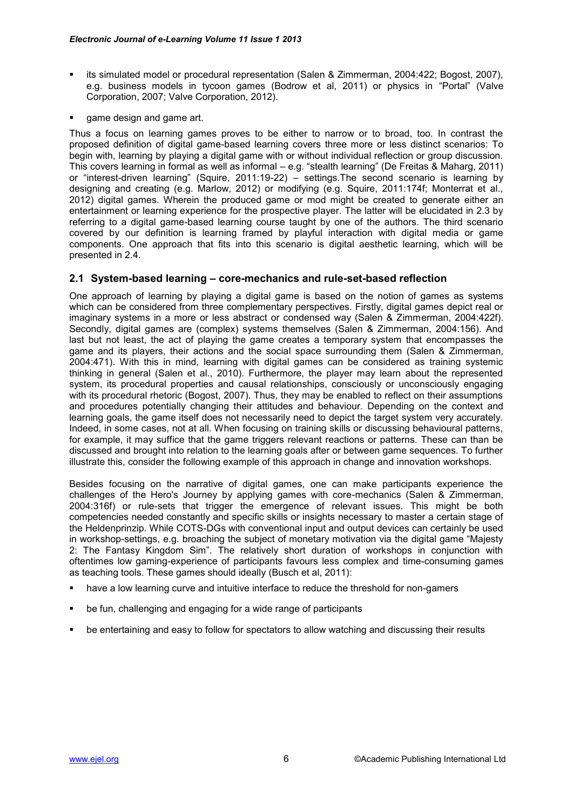- its simulated model or procedural representation (Salen & Zimmerman, 2004:422; Bogost, 2007), e.g. business models in tycoon games (Bodrow et al, 2011) or physics in "Portal" (Valve Corporation, 2007; Valve Corporation, 2012).
- game design and game art.

Thus a focus on learning games proves to be either to narrow or to broad, too. In contrast the proposed definition of digital game-based learning covers three more or less distinct scenarios: To begin with, learning by playing a digital game with or without individual reflection or group discussion. This covers learning in formal as well as informal – e.g. "stealth learning" (De Freitas & Maharg, 2011) or "interest-driven learning" (Squire, 2011:19-22) – settings.The second scenario is learning by designing and creating (e.g. Marlow, 2012) or modifying (e.g. Squire, 2011:174f; Monterrat et al., 2012) digital games. Wherein the produced game or mod might be created to generate either an entertainment or learning experience for the prospective player. The latter will be elucidated in 2.3 by referring to a digital game-based learning course taught by one of the authors. The third scenario covered by our definition is learning framed by playful interaction with digital media or game components. One approach that fits into this scenario is digital aesthetic learning, which will be presented in 2.4.

#### **2.1 System-based learning – core-mechanics and rule-set-based reflection**

One approach of learning by playing a digital game is based on the notion of games as systems which can be considered from three complementary perspectives. Firstly, digital games depict real or imaginary systems in a more or less abstract or condensed way (Salen & Zimmerman, 2004:422f). Secondly, digital games are (complex) systems themselves (Salen & Zimmerman, 2004:156). And last but not least, the act of playing the game creates a temporary system that encompasses the game and its players, their actions and the social space surrounding them (Salen & Zimmerman, 2004:471). With this in mind, learning with digital games can be considered as training systemic thinking in general (Salen et al., 2010). Furthermore, the player may learn about the represented system, its procedural properties and causal relationships, consciously or unconsciously engaging with its procedural rhetoric (Bogost, 2007). Thus, they may be enabled to reflect on their assumptions and procedures potentially changing their attitudes and behaviour. Depending on the context and learning goals, the game itself does not necessarily need to depict the target system very accurately. Indeed, in some cases, not at all. When focusing on training skills or discussing behavioural patterns, for example, it may suffice that the game triggers relevant reactions or patterns. These can than be discussed and brought into relation to the learning goals after or between game sequences. To further illustrate this, consider the following example of this approach in change and innovation workshops.

Besides focusing on the narrative of digital games, one can make participants experience the challenges of the Hero's Journey by applying games with core-mechanics (Salen & Zimmerman, 2004:316f) or rule-sets that trigger the emergence of relevant issues. This might be both competencies needed constantly and specific skills or insights necessary to master a certain stage of the Heldenprinzip. While COTS-DGs with conventional input and output devices can certainly be used in workshop-settings, e.g. broaching the subject of monetary motivation via the digital game "Majesty 2: The Fantasy Kingdom Sim". The relatively short duration of workshops in conjunction with oftentimes low gaming-experience of participants favours less complex and time-consuming games as teaching tools. These games should ideally (Busch et al, 2011):

- have a low learning curve and intuitive interface to reduce the threshold for non-gamers
- be fun, challenging and engaging for a wide range of participants
- be entertaining and easy to follow for spectators to allow watching and discussing their results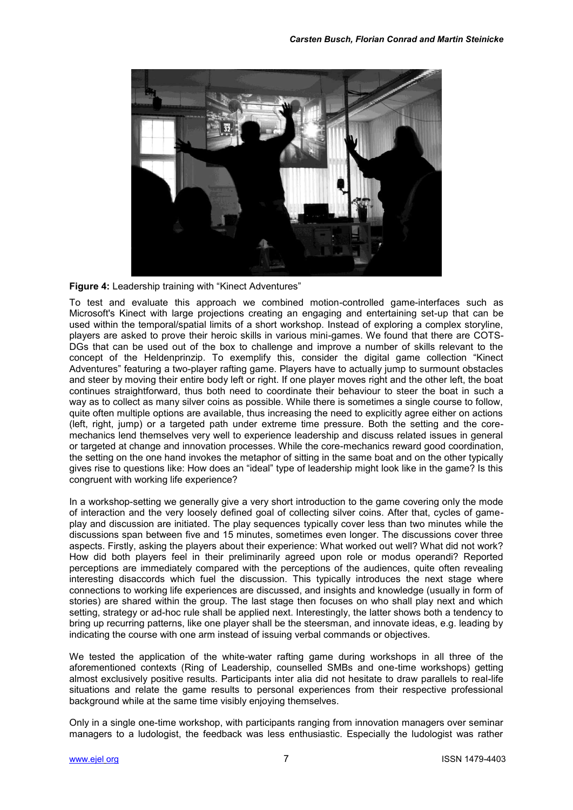

**Figure 4:** Leadership training with "Kinect Adventures"

To test and evaluate this approach we combined motion-controlled game-interfaces such as Microsoft's Kinect with large projections creating an engaging and entertaining set-up that can be used within the temporal/spatial limits of a short workshop. Instead of exploring a complex storyline, players are asked to prove their heroic skills in various mini-games. We found that there are COTS-DGs that can be used out of the box to challenge and improve a number of skills relevant to the concept of the Heldenprinzip. To exemplify this, consider the digital game collection "Kinect Adventures" featuring a two-player rafting game. Players have to actually jump to surmount obstacles and steer by moving their entire body left or right. If one player moves right and the other left, the boat continues straightforward, thus both need to coordinate their behaviour to steer the boat in such a way as to collect as many silver coins as possible. While there is sometimes a single course to follow, quite often multiple options are available, thus increasing the need to explicitly agree either on actions (left, right, jump) or a targeted path under extreme time pressure. Both the setting and the coremechanics lend themselves very well to experience leadership and discuss related issues in general or targeted at change and innovation processes. While the core-mechanics reward good coordination, the setting on the one hand invokes the metaphor of sitting in the same boat and on the other typically gives rise to questions like: How does an "ideal" type of leadership might look like in the game? Is this congruent with working life experience?

In a workshop-setting we generally give a very short introduction to the game covering only the mode of interaction and the very loosely defined goal of collecting silver coins. After that, cycles of gameplay and discussion are initiated. The play sequences typically cover less than two minutes while the discussions span between five and 15 minutes, sometimes even longer. The discussions cover three aspects. Firstly, asking the players about their experience: What worked out well? What did not work? How did both players feel in their preliminarily agreed upon role or modus operandi? Reported perceptions are immediately compared with the perceptions of the audiences, quite often revealing interesting disaccords which fuel the discussion. This typically introduces the next stage where connections to working life experiences are discussed, and insights and knowledge (usually in form of stories) are shared within the group. The last stage then focuses on who shall play next and which setting, strategy or ad-hoc rule shall be applied next. Interestingly, the latter shows both a tendency to bring up recurring patterns, like one player shall be the steersman, and innovate ideas, e.g. leading by indicating the course with one arm instead of issuing verbal commands or objectives.

We tested the application of the white-water rafting game during workshops in all three of the aforementioned contexts (Ring of Leadership, counselled SMBs and one-time workshops) getting almost exclusively positive results. Participants inter alia did not hesitate to draw parallels to real-life situations and relate the game results to personal experiences from their respective professional background while at the same time visibly enjoying themselves.

Only in a single one-time workshop, with participants ranging from innovation managers over seminar managers to a ludologist, the feedback was less enthusiastic. Especially the ludologist was rather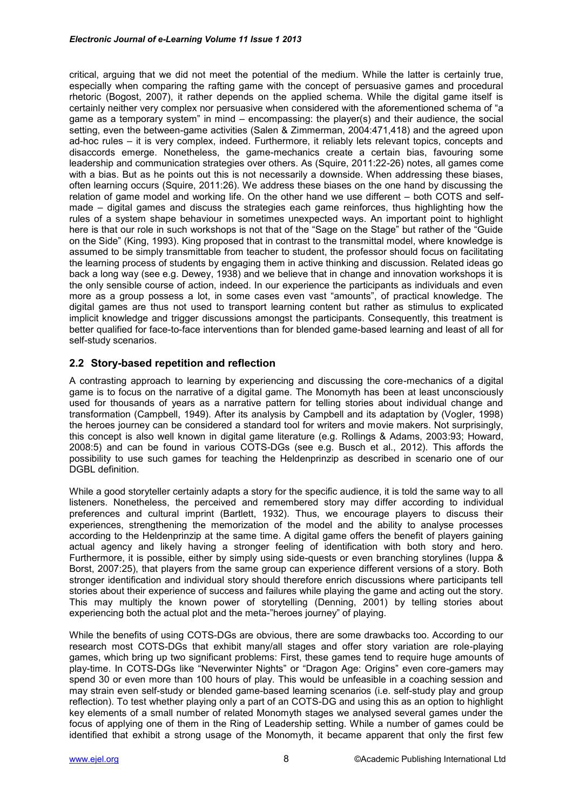critical, arguing that we did not meet the potential of the medium. While the latter is certainly true, especially when comparing the rafting game with the concept of persuasive games and procedural rhetoric (Bogost, 2007), it rather depends on the applied schema. While the digital game itself is certainly neither very complex nor persuasive when considered with the aforementioned schema of "a game as a temporary system" in mind – encompassing: the player(s) and their audience, the social setting, even the between-game activities (Salen & Zimmerman, 2004:471,418) and the agreed upon ad-hoc rules – it is very complex, indeed. Furthermore, it reliably lets relevant topics, concepts and disaccords emerge. Nonetheless, the game-mechanics create a certain bias, favouring some leadership and communication strategies over others. As (Squire, 2011:22-26) notes, all games come with a bias. But as he points out this is not necessarily a downside. When addressing these biases, often learning occurs (Squire, 2011:26). We address these biases on the one hand by discussing the relation of game model and working life. On the other hand we use different – both COTS and selfmade – digital games and discuss the strategies each game reinforces, thus highlighting how the rules of a system shape behaviour in sometimes unexpected ways. An important point to highlight here is that our role in such workshops is not that of the "Sage on the Stage" but rather of the "Guide on the Side" (King, 1993). King proposed that in contrast to the transmittal model, where knowledge is assumed to be simply transmittable from teacher to student, the professor should focus on facilitating the learning process of students by engaging them in active thinking and discussion. Related ideas go back a long way (see e.g. Dewey, 1938) and we believe that in change and innovation workshops it is the only sensible course of action, indeed. In our experience the participants as individuals and even more as a group possess a lot, in some cases even vast "amounts", of practical knowledge. The digital games are thus not used to transport learning content but rather as stimulus to explicated implicit knowledge and trigger discussions amongst the participants. Consequently, this treatment is better qualified for face-to-face interventions than for blended game-based learning and least of all for self-study scenarios.

### **2.2 Story-based repetition and reflection**

A contrasting approach to learning by experiencing and discussing the core-mechanics of a digital game is to focus on the narrative of a digital game. The Monomyth has been at least unconsciously used for thousands of years as a narrative pattern for telling stories about individual change and transformation (Campbell, 1949). After its analysis by Campbell and its adaptation by (Vogler, 1998) the heroes journey can be considered a standard tool for writers and movie makers. Not surprisingly, this concept is also well known in digital game literature (e.g. Rollings & Adams, 2003:93; Howard, 2008:5) and can be found in various COTS-DGs (see e.g. Busch et al., 2012). This affords the possibility to use such games for teaching the Heldenprinzip as described in scenario one of our DGBL definition.

While a good storyteller certainly adapts a story for the specific audience, it is told the same way to all listeners. Nonetheless, the perceived and remembered story may differ according to individual preferences and cultural imprint (Bartlett, 1932). Thus, we encourage players to discuss their experiences, strengthening the memorization of the model and the ability to analyse processes according to the Heldenprinzip at the same time. A digital game offers the benefit of players gaining actual agency and likely having a stronger feeling of identification with both story and hero. Furthermore, it is possible, either by simply using side-quests or even branching storylines (luppa & Borst, 2007:25), that players from the same group can experience different versions of a story. Both stronger identification and individual story should therefore enrich discussions where participants tell stories about their experience of success and failures while playing the game and acting out the story. This may multiply the known power of storytelling (Denning, 2001) by telling stories about experiencing both the actual plot and the meta-"heroes journey" of playing.

While the benefits of using COTS-DGs are obvious, there are some drawbacks too. According to our research most COTS-DGs that exhibit many/all stages and offer story variation are role-playing games, which bring up two significant problems: First, these games tend to require huge amounts of play-time. In COTS-DGs like "Neverwinter Nights" or "Dragon Age: Origins" even core-gamers may spend 30 or even more than 100 hours of play. This would be unfeasible in a coaching session and may strain even self-study or blended game-based learning scenarios (i.e. self-study play and group reflection). To test whether playing only a part of an COTS-DG and using this as an option to highlight key elements of a small number of related Monomyth stages we analysed several games under the focus of applying one of them in the Ring of Leadership setting. While a number of games could be identified that exhibit a strong usage of the Monomyth, it became apparent that only the first few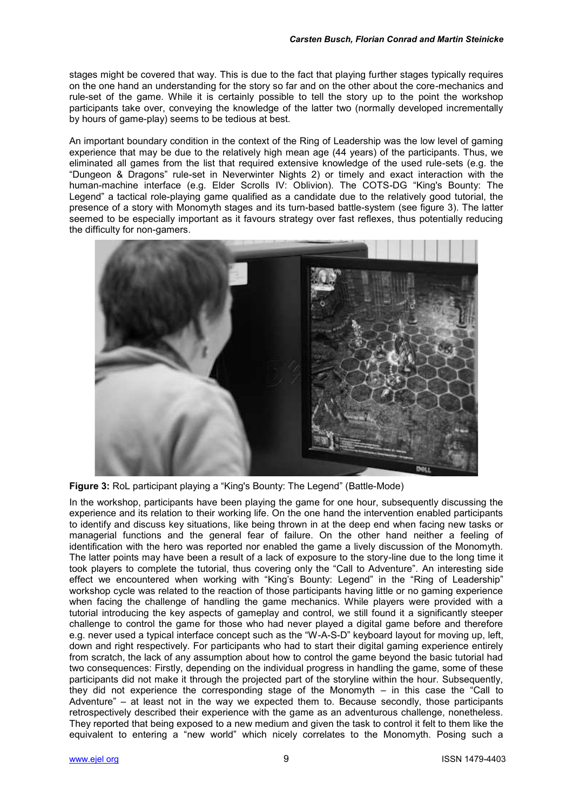stages might be covered that way. This is due to the fact that playing further stages typically requires on the one hand an understanding for the story so far and on the other about the core-mechanics and rule-set of the game. While it is certainly possible to tell the story up to the point the workshop participants take over, conveying the knowledge of the latter two (normally developed incrementally by hours of game-play) seems to be tedious at best.

An important boundary condition in the context of the Ring of Leadership was the low level of gaming experience that may be due to the relatively high mean age (44 years) of the participants. Thus, we eliminated all games from the list that required extensive knowledge of the used rule-sets (e.g. the "Dungeon & Dragons" rule-set in Neverwinter Nights 2) or timely and exact interaction with the human-machine interface (e.g. Elder Scrolls IV: Oblivion). The COTS-DG "King's Bounty: The Legend" a tactical role-playing game qualified as a candidate due to the relatively good tutorial, the presence of a story with Monomyth stages and its turn-based battle-system (see figure 3). The latter seemed to be especially important as it favours strategy over fast reflexes, thus potentially reducing the difficulty for non-gamers.



**Figure 3:** RoL participant playing a "King's Bounty: The Legend" (Battle-Mode)

In the workshop, participants have been playing the game for one hour, subsequently discussing the experience and its relation to their working life. On the one hand the intervention enabled participants to identify and discuss key situations, like being thrown in at the deep end when facing new tasks or managerial functions and the general fear of failure. On the other hand neither a feeling of identification with the hero was reported nor enabled the game a lively discussion of the Monomyth. The latter points may have been a result of a lack of exposure to the story-line due to the long time it took players to complete the tutorial, thus covering only the "Call to Adventure". An interesting side effect we encountered when working with "King's Bounty: Legend" in the "Ring of Leadership" workshop cycle was related to the reaction of those participants having little or no gaming experience when facing the challenge of handling the game mechanics. While players were provided with a tutorial introducing the key aspects of gameplay and control, we still found it a significantly steeper challenge to control the game for those who had never played a digital game before and therefore e.g. never used a typical interface concept such as the "W-A-S-D" keyboard layout for moving up, left, down and right respectively. For participants who had to start their digital gaming experience entirely from scratch, the lack of any assumption about how to control the game beyond the basic tutorial had two consequences: Firstly, depending on the individual progress in handling the game, some of these participants did not make it through the projected part of the storyline within the hour. Subsequently, they did not experience the corresponding stage of the Monomyth – in this case the "Call to Adventure" – at least not in the way we expected them to. Because secondly, those participants retrospectively described their experience with the game as an adventurous challenge, nonetheless. They reported that being exposed to a new medium and given the task to control it felt to them like the equivalent to entering a "new world" which nicely correlates to the Monomyth. Posing such a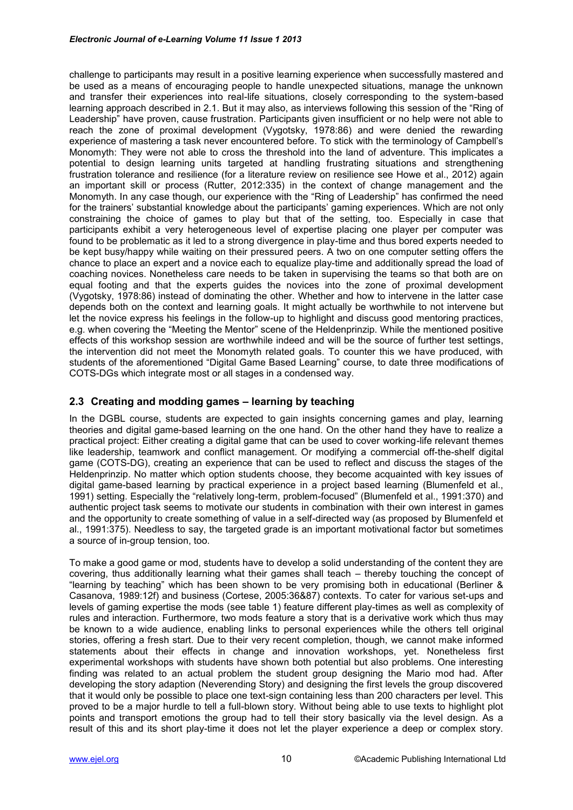challenge to participants may result in a positive learning experience when successfully mastered and be used as a means of encouraging people to handle unexpected situations, manage the unknown and transfer their experiences into real-life situations, closely corresponding to the system-based learning approach described in 2.1. But it may also, as interviews following this session of the "Ring of Leadership" have proven, cause frustration. Participants given insufficient or no help were not able to reach the zone of proximal development (Vygotsky, 1978:86) and were denied the rewarding experience of mastering a task never encountered before. To stick with the terminology of Campbell's Monomyth: They were not able to cross the threshold into the land of adventure. This implicates a potential to design learning units targeted at handling frustrating situations and strengthening frustration tolerance and resilience (for a literature review on resilience see Howe et al., 2012) again an important skill or process (Rutter, 2012:335) in the context of change management and the Monomyth. In any case though, our experience with the "Ring of Leadership" has confirmed the need for the trainers' substantial knowledge about the participants' gaming experiences. Which are not only constraining the choice of games to play but that of the setting, too. Especially in case that participants exhibit a very heterogeneous level of expertise placing one player per computer was found to be problematic as it led to a strong divergence in play-time and thus bored experts needed to be kept busy/happy while waiting on their pressured peers. A two on one computer setting offers the chance to place an expert and a novice each to equalize play-time and additionally spread the load of coaching novices. Nonetheless care needs to be taken in supervising the teams so that both are on equal footing and that the experts guides the novices into the zone of proximal development (Vygotsky, 1978:86) instead of dominating the other. Whether and how to intervene in the latter case depends both on the context and learning goals. It might actually be worthwhile to not intervene but let the novice express his feelings in the follow-up to highlight and discuss good mentoring practices, e.g. when covering the "Meeting the Mentor" scene of the Heldenprinzip. While the mentioned positive effects of this workshop session are worthwhile indeed and will be the source of further test settings, the intervention did not meet the Monomyth related goals. To counter this we have produced, with students of the aforementioned "Digital Game Based Learning" course, to date three modifications of COTS-DGs which integrate most or all stages in a condensed way.

#### **2.3 Creating and modding games – learning by teaching**

In the DGBL course, students are expected to gain insights concerning games and play, learning theories and digital game-based learning on the one hand. On the other hand they have to realize a practical project: Either creating a digital game that can be used to cover working-life relevant themes like leadership, teamwork and conflict management. Or modifying a commercial off-the-shelf digital game (COTS-DG), creating an experience that can be used to reflect and discuss the stages of the Heldenprinzip. No matter which option students choose, they become acquainted with key issues of digital game-based learning by practical experience in a project based learning (Blumenfeld et al., 1991) setting. Especially the "relatively long-term, problem-focused" (Blumenfeld et al., 1991:370) and authentic project task seems to motivate our students in combination with their own interest in games and the opportunity to create something of value in a self-directed way (as proposed by Blumenfeld et al., 1991:375). Needless to say, the targeted grade is an important motivational factor but sometimes a source of in-group tension, too.

To make a good game or mod, students have to develop a solid understanding of the content they are covering, thus additionally learning what their games shall teach – thereby touching the concept of "learning by teaching" which has been shown to be very promising both in educational (Berliner & Casanova, 1989:12f) and business (Cortese, 2005:36&87) contexts. To cater for various set-ups and levels of gaming expertise the mods (see table 1) feature different play-times as well as complexity of rules and interaction. Furthermore, two mods feature a story that is a derivative work which thus may be known to a wide audience, enabling links to personal experiences while the others tell original stories, offering a fresh start. Due to their very recent completion, though, we cannot make informed statements about their effects in change and innovation workshops, yet. Nonetheless first experimental workshops with students have shown both potential but also problems. One interesting finding was related to an actual problem the student group designing the Mario mod had. After developing the story adaption (Neverending Story) and designing the first levels the group discovered that it would only be possible to place one text-sign containing less than 200 characters per level. This proved to be a major hurdle to tell a full-blown story. Without being able to use texts to highlight plot points and transport emotions the group had to tell their story basically via the level design. As a result of this and its short play-time it does not let the player experience a deep or complex story.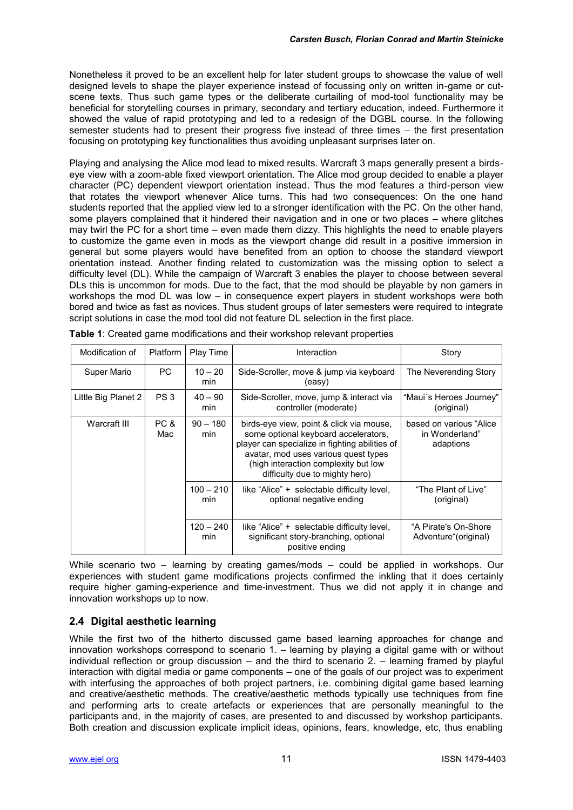Nonetheless it proved to be an excellent help for later student groups to showcase the value of well designed levels to shape the player experience instead of focussing only on written in-game or cutscene texts. Thus such game types or the deliberate curtailing of mod-tool functionality may be beneficial for storytelling courses in primary, secondary and tertiary education, indeed. Furthermore it showed the value of rapid prototyping and led to a redesign of the DGBL course. In the following semester students had to present their progress five instead of three times – the first presentation focusing on prototyping key functionalities thus avoiding unpleasant surprises later on.

Playing and analysing the Alice mod lead to mixed results. Warcraft 3 maps generally present a birdseye view with a zoom-able fixed viewport orientation. The Alice mod group decided to enable a player character (PC) dependent viewport orientation instead. Thus the mod features a third-person view that rotates the viewport whenever Alice turns. This had two consequences: On the one hand students reported that the applied view led to a stronger identification with the PC. On the other hand, some players complained that it hindered their navigation and in one or two places – where glitches may twirl the PC for a short time – even made them dizzy. This highlights the need to enable players to customize the game even in mods as the viewport change did result in a positive immersion in general but some players would have benefited from an option to choose the standard viewport orientation instead. Another finding related to customization was the missing option to select a difficulty level (DL). While the campaign of Warcraft 3 enables the player to choose between several DLs this is uncommon for mods. Due to the fact, that the mod should be playable by non gamers in workshops the mod DL was low – in consequence expert players in student workshops were both bored and twice as fast as novices. Thus student groups of later semesters were required to integrate script solutions in case the mod tool did not feature DL selection in the first place.

| Modification of     | <b>Platform</b> | Play Time          | Interaction                                                                                                                                                                                                                                          | Story                                                  |
|---------------------|-----------------|--------------------|------------------------------------------------------------------------------------------------------------------------------------------------------------------------------------------------------------------------------------------------------|--------------------------------------------------------|
| Super Mario         | <b>PC</b>       | $10 - 20$<br>min   | Side-Scroller, move & jump via keyboard<br>(easy)                                                                                                                                                                                                    | The Neverending Story                                  |
| Little Big Planet 2 | PS <sub>3</sub> | $40 - 90$<br>min   | Side-Scroller, move, jump & interact via<br>controller (moderate)                                                                                                                                                                                    | "Maui´s Heroes Journey"<br>(original)                  |
| Warcraft III        | PC &<br>Mac     | $90 - 180$<br>min  | birds-eye view, point & click via mouse,<br>some optional keyboard accelerators,<br>player can specialize in fighting abilities of<br>avatar, mod uses various quest types<br>(high interaction complexity but low<br>difficulty due to mighty hero) | based on various "Alice<br>in Wonderland"<br>adaptions |
|                     |                 | $100 - 210$<br>min | like "Alice" + selectable difficulty level,<br>optional negative ending                                                                                                                                                                              | "The Plant of Live"<br>(original)                      |
|                     |                 | $120 - 240$<br>min | like "Alice" + selectable difficulty level,<br>significant story-branching, optional<br>positive ending                                                                                                                                              | "A Pirate's On-Shore<br>Adventure"(original)           |

**Table 1**: Created game modifications and their workshop relevant properties

While scenario two – learning by creating games/mods – could be applied in workshops. Our experiences with student game modifications projects confirmed the inkling that it does certainly require higher gaming-experience and time-investment. Thus we did not apply it in change and innovation workshops up to now.

## **2.4 Digital aesthetic learning**

While the first two of the hitherto discussed game based learning approaches for change and innovation workshops correspond to scenario 1. – learning by playing a digital game with or without individual reflection or group discussion – and the third to scenario 2. – learning framed by playful interaction with digital media or game components – one of the goals of our project was to experiment with interfusing the approaches of both project partners, i.e. combining digital game based learning and creative/aesthetic methods. The creative/aesthetic methods typically use techniques from fine and performing arts to create artefacts or experiences that are personally meaningful to the participants and, in the majority of cases, are presented to and discussed by workshop participants. Both creation and discussion explicate implicit ideas, opinions, fears, knowledge, etc, thus enabling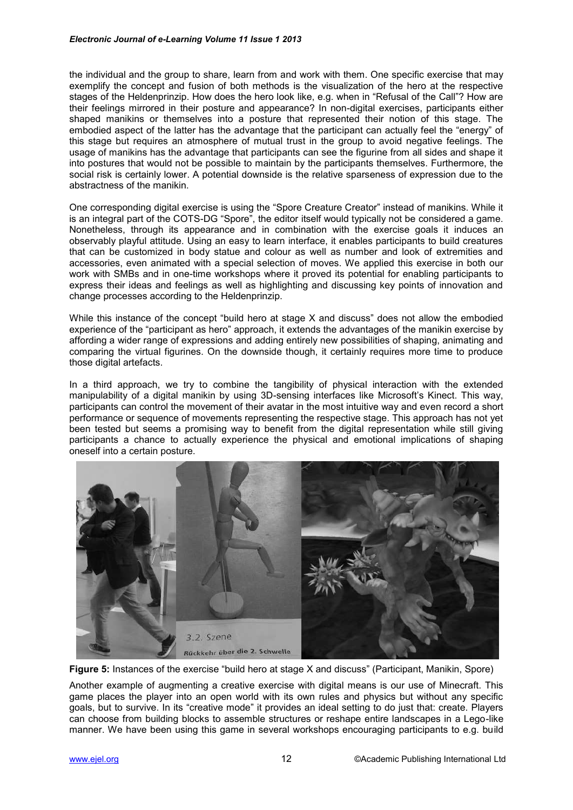the individual and the group to share, learn from and work with them. One specific exercise that may exemplify the concept and fusion of both methods is the visualization of the hero at the respective stages of the Heldenprinzip. How does the hero look like, e.g. when in "Refusal of the Call"? How are their feelings mirrored in their posture and appearance? In non-digital exercises, participants either shaped manikins or themselves into a posture that represented their notion of this stage. The embodied aspect of the latter has the advantage that the participant can actually feel the "energy" of this stage but requires an atmosphere of mutual trust in the group to avoid negative feelings. The usage of manikins has the advantage that participants can see the figurine from all sides and shape it into postures that would not be possible to maintain by the participants themselves. Furthermore, the social risk is certainly lower. A potential downside is the relative sparseness of expression due to the abstractness of the manikin.

One corresponding digital exercise is using the "Spore Creature Creator" instead of manikins. While it is an integral part of the COTS-DG "Spore", the editor itself would typically not be considered a game. Nonetheless, through its appearance and in combination with the exercise goals it induces an observably playful attitude. Using an easy to learn interface, it enables participants to build creatures that can be customized in body statue and colour as well as number and look of extremities and accessories, even animated with a special selection of moves. We applied this exercise in both our work with SMBs and in one-time workshops where it proved its potential for enabling participants to express their ideas and feelings as well as highlighting and discussing key points of innovation and change processes according to the Heldenprinzip.

While this instance of the concept "build hero at stage X and discuss" does not allow the embodied experience of the "participant as hero" approach, it extends the advantages of the manikin exercise by affording a wider range of expressions and adding entirely new possibilities of shaping, animating and comparing the virtual figurines. On the downside though, it certainly requires more time to produce those digital artefacts.

In a third approach, we try to combine the tangibility of physical interaction with the extended manipulability of a digital manikin by using 3D-sensing interfaces like Microsoft's Kinect. This way, participants can control the movement of their avatar in the most intuitive way and even record a short performance or sequence of movements representing the respective stage. This approach has not yet been tested but seems a promising way to benefit from the digital representation while still giving participants a chance to actually experience the physical and emotional implications of shaping oneself into a certain posture.



**Figure 5:** Instances of the exercise "build hero at stage X and discuss" (Participant, Manikin, Spore)

Another example of augmenting a creative exercise with digital means is our use of Minecraft. This game places the player into an open world with its own rules and physics but without any specific goals, but to survive. In its "creative mode" it provides an ideal setting to do just that: create. Players can choose from building blocks to assemble structures or reshape entire landscapes in a Lego-like manner. We have been using this game in several workshops encouraging participants to e.g. build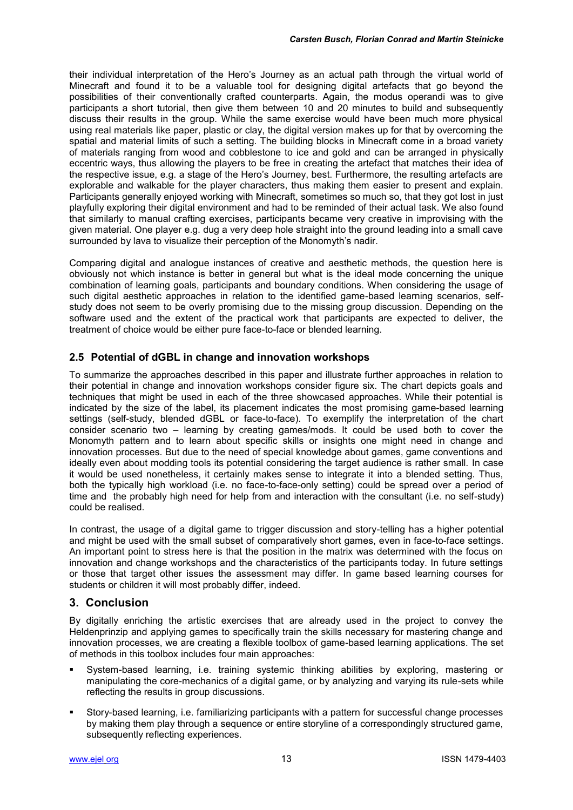their individual interpretation of the Hero's Journey as an actual path through the virtual world of Minecraft and found it to be a valuable tool for designing digital artefacts that go beyond the possibilities of their conventionally crafted counterparts. Again, the modus operandi was to give participants a short tutorial, then give them between 10 and 20 minutes to build and subsequently discuss their results in the group. While the same exercise would have been much more physical using real materials like paper, plastic or clay, the digital version makes up for that by overcoming the spatial and material limits of such a setting. The building blocks in Minecraft come in a broad variety of materials ranging from wood and cobblestone to ice and gold and can be arranged in physically eccentric ways, thus allowing the players to be free in creating the artefact that matches their idea of the respective issue, e.g. a stage of the Hero's Journey, best. Furthermore, the resulting artefacts are explorable and walkable for the player characters, thus making them easier to present and explain. Participants generally enjoyed working with Minecraft, sometimes so much so, that they got lost in just playfully exploring their digital environment and had to be reminded of their actual task. We also found that similarly to manual crafting exercises, participants became very creative in improvising with the given material. One player e.g. dug a very deep hole straight into the ground leading into a small cave surrounded by lava to visualize their perception of the Monomyth's nadir.

Comparing digital and analogue instances of creative and aesthetic methods, the question here is obviously not which instance is better in general but what is the ideal mode concerning the unique combination of learning goals, participants and boundary conditions. When considering the usage of such digital aesthetic approaches in relation to the identified game-based learning scenarios, selfstudy does not seem to be overly promising due to the missing group discussion. Depending on the software used and the extent of the practical work that participants are expected to deliver, the treatment of choice would be either pure face-to-face or blended learning.

### **2.5 Potential of dGBL in change and innovation workshops**

To summarize the approaches described in this paper and illustrate further approaches in relation to their potential in change and innovation workshops consider figure six. The chart depicts goals and techniques that might be used in each of the three showcased approaches. While their potential is indicated by the size of the label, its placement indicates the most promising game-based learning settings (self-study, blended dGBL or face-to-face). To exemplify the interpretation of the chart consider scenario two – learning by creating games/mods. It could be used both to cover the Monomyth pattern and to learn about specific skills or insights one might need in change and innovation processes. But due to the need of special knowledge about games, game conventions and ideally even about modding tools its potential considering the target audience is rather small. In case it would be used nonetheless, it certainly makes sense to integrate it into a blended setting. Thus, both the typically high workload (i.e. no face-to-face-only setting) could be spread over a period of time and the probably high need for help from and interaction with the consultant (i.e. no self-study) could be realised.

In contrast, the usage of a digital game to trigger discussion and story-telling has a higher potential and might be used with the small subset of comparatively short games, even in face-to-face settings. An important point to stress here is that the position in the matrix was determined with the focus on innovation and change workshops and the characteristics of the participants today. In future settings or those that target other issues the assessment may differ. In game based learning courses for students or children it will most probably differ, indeed.

#### **3. Conclusion**

By digitally enriching the artistic exercises that are already used in the project to convey the Heldenprinzip and applying games to specifically train the skills necessary for mastering change and innovation processes, we are creating a flexible toolbox of game-based learning applications. The set of methods in this toolbox includes four main approaches:

- System-based learning, i.e. training systemic thinking abilities by exploring, mastering or manipulating the core-mechanics of a digital game, or by analyzing and varying its rule-sets while reflecting the results in group discussions.
- Story-based learning, i.e. familiarizing participants with a pattern for successful change processes by making them play through a sequence or entire storyline of a correspondingly structured game, subsequently reflecting experiences.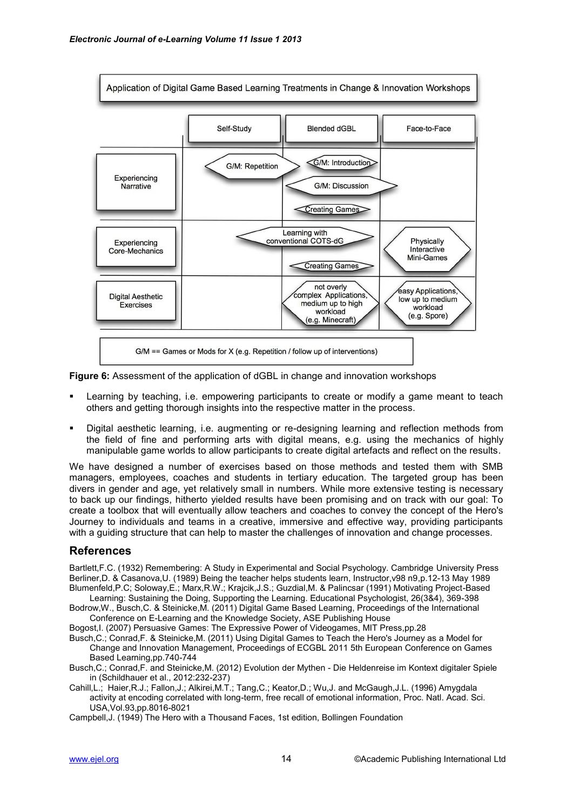

**Figure 6:** Assessment of the application of dGBL in change and innovation workshops

- Learning by teaching, i.e. empowering participants to create or modify a game meant to teach others and getting thorough insights into the respective matter in the process.
- Digital aesthetic learning, i.e. augmenting or re-designing learning and reflection methods from the field of fine and performing arts with digital means, e.g. using the mechanics of highly manipulable game worlds to allow participants to create digital artefacts and reflect on the results.

We have designed a number of exercises based on those methods and tested them with SMB managers, employees, coaches and students in tertiary education. The targeted group has been divers in gender and age, yet relatively small in numbers. While more extensive testing is necessary to back up our findings, hitherto yielded results have been promising and on track with our goal: To create a toolbox that will eventually allow teachers and coaches to convey the concept of the Hero's Journey to individuals and teams in a creative, immersive and effective way, providing participants with a guiding structure that can help to master the challenges of innovation and change processes.

### **References**

Bartlett,F.C. (1932) Remembering: A Study in Experimental and Social Psychology. Cambridge University Press Berliner,D. & Casanova,U. (1989) Being the teacher helps students learn, Instructor,v98 n9,p.12-13 May 1989 Blumenfeld,P.C; Soloway,E.; Marx,R.W.; Krajcik,J.S.; Guzdial,M. & Palincsar (1991) Motivating Project-Based

Learning: Sustaining the Doing, Supporting the Learning. Educational Psychologist, 26(3&4), 369-398 Bodrow,W., Busch,C. & Steinicke,M. (2011) Digital Game Based Learning, Proceedings of the International Conference on E-Learning and the Knowledge Society, ASE Publishing House

Bogost,I. (2007) Persuasive Games: The Expressive Power of Videogames, MIT Press,pp.28

Busch,C.; Conrad,F. & Steinicke,M. (2011) Using Digital Games to Teach the Hero's Journey as a Model for Change and Innovation Management, Proceedings of ECGBL 2011 5th European Conference on Games Based Learning,pp.740-744

Busch,C.; Conrad,F. and Steinicke,M. (2012) Evolution der Mythen - Die Heldenreise im Kontext digitaler Spiele in (Schildhauer et al., 2012:232-237)

Cahill,L.; Haier,R.J.; Fallon,J.; Alkirei,M.T.; Tang,C.; Keator,D.; Wu,J. and McGaugh,J.L. (1996) Amygdala activity at encoding correlated with long-term, free recall of emotional information, Proc. Natl. Acad. Sci. USA,Vol.93,pp.8016-8021

Campbell,J. (1949) The Hero with a Thousand Faces, 1st edition, Bollingen Foundation